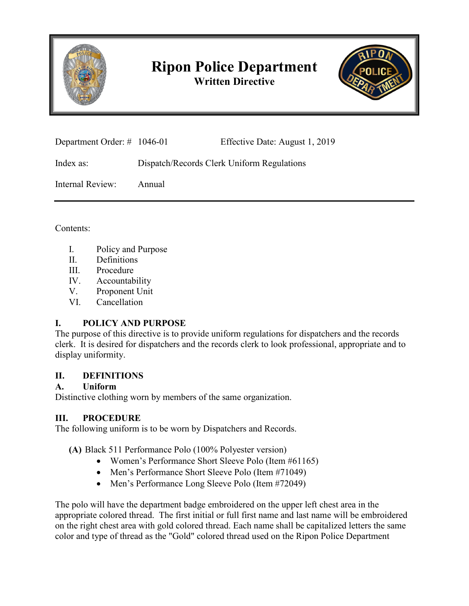

# **Ripon Police Department Written Directive**



| Department Order: $\#$ 1046-01 |                                            | Effective Date: August 1, 2019 |
|--------------------------------|--------------------------------------------|--------------------------------|
| Index as:                      | Dispatch/Records Clerk Uniform Regulations |                                |
| Internal Review:               | Annual                                     |                                |

Contents:

- I. Policy and Purpose
- II. Definitions
- III. Procedure
- IV. Accountability
- V. Proponent Unit
- VI. Cancellation

## **I. POLICY AND PURPOSE**

The purpose of this directive is to provide uniform regulations for dispatchers and the records clerk. It is desired for dispatchers and the records clerk to look professional, appropriate and to display uniformity.

## **II. DEFINITIONS**

## **A. Uniform**

Distinctive clothing worn by members of the same organization.

# **III. PROCEDURE**

The following uniform is to be worn by Dispatchers and Records.

**(A)** Black 511 Performance Polo (100% Polyester version)

- Women's Performance Short Sleeve Polo (Item #61165)
- Men's Performance Short Sleeve Polo (Item #71049)
- Men's Performance Long Sleeve Polo (Item #72049)

The polo will have the department badge embroidered on the upper left chest area in the appropriate colored thread. The first initial or full first name and last name will be embroidered on the right chest area with gold colored thread. Each name shall be capitalized letters the same color and type of thread as the "Gold" colored thread used on the Ripon Police Department